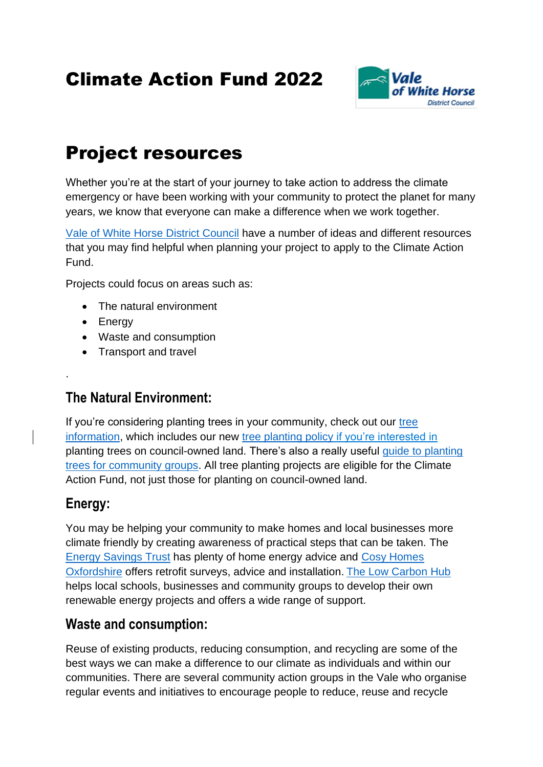# Climate Action Fund 2022



# Project resources

Whether you're at the start of your journey to take action to address the climate emergency or have been working with your community to protect the planet for many years, we know that everyone can make a difference when we work together.

[Vale of White Horse District Council](https://www.whitehorsedc.gov.uk/vale-of-white-horse-district-council/action-on-climate-and-nature/what-can-you-do/) have a number of ideas and different resources that you may find helpful when planning your project to apply to the Climate Action Fund.

Projects could focus on areas such as:

- The natural environment
- Energy
- Waste and consumption
- Transport and travel

### **The Natural Environment:**

If you're considering planting trees in your community, check out our tree [information,](https://www.whitehorsedc.gov.uk/vale-of-white-horse-district-council/planning-and-development/wildlife-trees-and-landscape/trees/) which includes our new [tree planting policy](https://www.southandvale.gov.uk/wp-content/uploads/2021/10/South-Oxfordshire-and-Vale-of-White-Horse-Policy-for-Planting-Trees-on-Council-Owned-Land-1.pdf) if you're interested in planting trees on council-owned land. There's also a really useful [guide to planting](https://www.whitehorsedc.gov.uk/wp-content/uploads/sites/3/2020/10/Tree-Planting-Guidance-2020.pdf)  [trees for community groups.](https://www.whitehorsedc.gov.uk/wp-content/uploads/sites/3/2020/10/Tree-Planting-Guidance-2020.pdf) All tree planting projects are eligible for the Climate Action Fund, not just those for planting on council-owned land.

### **Energy:**

.

You may be helping your community to make homes and local businesses more climate friendly by creating awareness of practical steps that can be taken. The [Energy Savings Trust](https://energysavingtrust.org.uk/energy-at-home/) has plenty of home energy advice and [Cosy Homes](https://cosyhomesoxfordshire.org/)  [Oxfordshire](https://cosyhomesoxfordshire.org/) offers retrofit surveys, advice and installation. [The Low Carbon Hub](https://www.lowcarbonhub.org/) helps local schools, businesses and community groups to develop their own renewable energy projects and offers a wide range of support.

#### **Waste and consumption:**

Reuse of existing products, reducing consumption, and recycling are some of the best ways we can make a difference to our climate as individuals and within our communities. There are several community action groups in the Vale who organise regular events and initiatives to encourage people to reduce, reuse and recycle